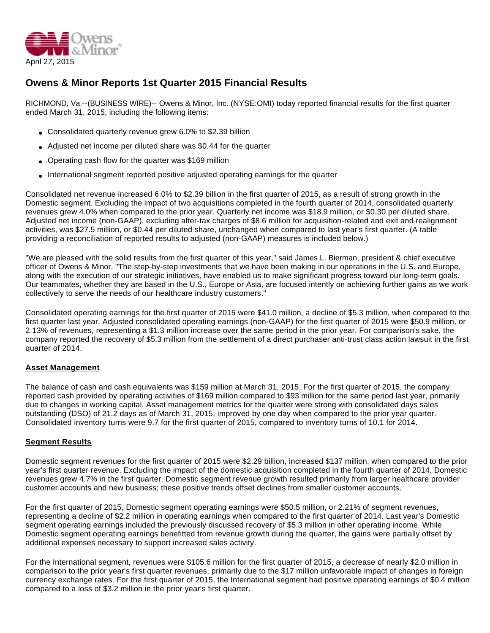

# **Owens & Minor Reports 1st Quarter 2015 Financial Results**

RICHMOND, Va.--(BUSINESS WIRE)-- Owens & Minor, Inc. (NYSE:OMI) today reported financial results for the first quarter ended March 31, 2015, including the following items:

- Consolidated quarterly revenue grew 6.0% to \$2.39 billion
- Adjusted net income per diluted share was \$0.44 for the quarter
- Operating cash flow for the quarter was \$169 million
- International segment reported positive adjusted operating earnings for the quarter

Consolidated net revenue increased 6.0% to \$2.39 billion in the first quarter of 2015, as a result of strong growth in the Domestic segment. Excluding the impact of two acquisitions completed in the fourth quarter of 2014, consolidated quarterly revenues grew 4.0% when compared to the prior year. Quarterly net income was \$18.9 million, or \$0.30 per diluted share. Adjusted net income (non-GAAP), excluding after-tax charges of \$8.6 million for acquisition-related and exit and realignment activities, was \$27.5 million, or \$0.44 per diluted share, unchanged when compared to last year's first quarter. (A table providing a reconciliation of reported results to adjusted (non-GAAP) measures is included below.)

"We are pleased with the solid results from the first quarter of this year," said James L. Bierman, president & chief executive officer of Owens & Minor. "The step-by-step investments that we have been making in our operations in the U.S. and Europe, along with the execution of our strategic initiatives, have enabled us to make significant progress toward our long-term goals. Our teammates, whether they are based in the U.S., Europe or Asia, are focused intently on achieving further gains as we work collectively to serve the needs of our healthcare industry customers."

Consolidated operating earnings for the first quarter of 2015 were \$41.0 million, a decline of \$5.3 million, when compared to the first quarter last year. Adjusted consolidated operating earnings (non-GAAP) for the first quarter of 2015 were \$50.9 million, or 2.13% of revenues, representing a \$1.3 million increase over the same period in the prior year. For comparison's sake, the company reported the recovery of \$5.3 million from the settlement of a direct purchaser anti-trust class action lawsuit in the first quarter of 2014.

# **Asset Management**

The balance of cash and cash equivalents was \$159 million at March 31, 2015. For the first quarter of 2015, the company reported cash provided by operating activities of \$169 million compared to \$93 million for the same period last year, primarily due to changes in working capital. Asset management metrics for the quarter were strong with consolidated days sales outstanding (DSO) of 21.2 days as of March 31, 2015, improved by one day when compared to the prior year quarter. Consolidated inventory turns were 9.7 for the first quarter of 2015, compared to inventory turns of 10.1 for 2014.

#### **Segment Results**

Domestic segment revenues for the first quarter of 2015 were \$2.29 billion, increased \$137 million, when compared to the prior year's first quarter revenue. Excluding the impact of the domestic acquisition completed in the fourth quarter of 2014, Domestic revenues grew 4.7% in the first quarter. Domestic segment revenue growth resulted primarily from larger healthcare provider customer accounts and new business; these positive trends offset declines from smaller customer accounts.

For the first quarter of 2015, Domestic segment operating earnings were \$50.5 million, or 2.21% of segment revenues, representing a decline of \$2.2 million in operating earnings when compared to the first quarter of 2014. Last year's Domestic segment operating earnings included the previously discussed recovery of \$5.3 million in other operating income. While Domestic segment operating earnings benefitted from revenue growth during the quarter, the gains were partially offset by additional expenses necessary to support increased sales activity.

For the International segment, revenues were \$105.6 million for the first quarter of 2015, a decrease of nearly \$2.0 million in comparison to the prior year's first quarter revenues, primarily due to the \$17 million unfavorable impact of changes in foreign currency exchange rates. For the first quarter of 2015, the International segment had positive operating earnings of \$0.4 million compared to a loss of \$3.2 million in the prior year's first quarter.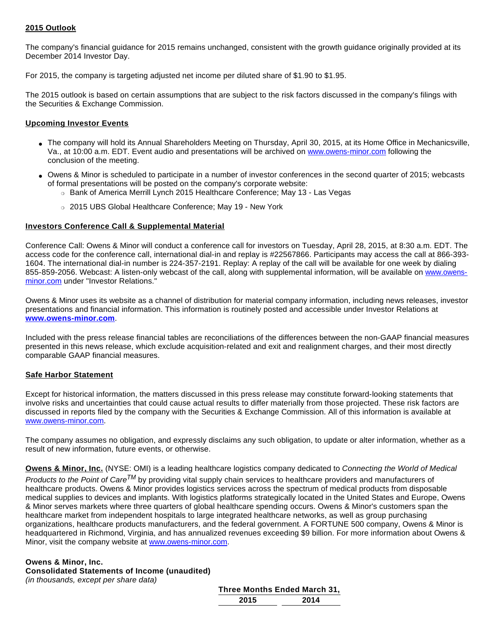### **2015 Outlook**

The company's financial guidance for 2015 remains unchanged, consistent with the growth guidance originally provided at its December 2014 Investor Day.

For 2015, the company is targeting adjusted net income per diluted share of \$1.90 to \$1.95.

The 2015 outlook is based on certain assumptions that are subject to the risk factors discussed in the company's filings with the Securities & Exchange Commission.

#### **Upcoming Investor Events**

- The company will hold its Annual Shareholders Meeting on Thursday, April 30, 2015, at its Home Office in Mechanicsville, Va., at 10:00 a.m. EDT. Event audio and presentations will be archived on [www.owens-minor.com](http://cts.businesswire.com/ct/CT?id=smartlink&url=http%3A%2F%2Fwww.owens-minor.com&esheet=51088868&newsitemid=20150427006449&lan=en-US&anchor=www.owens-minor.com&index=1&md5=aab5227cf53ae3f629757e92463f146b) following the conclusion of the meeting.
- Owens & Minor is scheduled to participate in a number of investor conferences in the second quarter of 2015; webcasts of formal presentations will be posted on the company's corporate website:
	- o Bank of America Merrill Lynch 2015 Healthcare Conference; May 13 Las Vegas
	- o 2015 UBS Global Healthcare Conference; May 19 New York

#### **Investors Conference Call & Supplemental Material**

Conference Call: Owens & Minor will conduct a conference call for investors on Tuesday, April 28, 2015, at 8:30 a.m. EDT. The access code for the conference call, international dial-in and replay is #22567866. Participants may access the call at 866-393- 1604. The international dial-in number is 224-357-2191. Replay: A replay of the call will be available for one week by dialing 855-859-2056. Webcast: A listen-only webcast of the call, along with supplemental information, will be available on [www.owens](http://cts.businesswire.com/ct/CT?id=smartlink&url=http%3A%2F%2Fwww.owens-minor.com&esheet=51088868&newsitemid=20150427006449&lan=en-US&anchor=www.owens-minor.com&index=2&md5=3984a6b579bdb87b0734cb2ab57cea3e)[minor.com](http://cts.businesswire.com/ct/CT?id=smartlink&url=http%3A%2F%2Fwww.owens-minor.com&esheet=51088868&newsitemid=20150427006449&lan=en-US&anchor=www.owens-minor.com&index=2&md5=3984a6b579bdb87b0734cb2ab57cea3e) under "Investor Relations."

Owens & Minor uses its website as a channel of distribution for material company information, including news releases, investor presentations and financial information. This information is routinely posted and accessible under Investor Relations at **[www.owens-minor.com](http://cts.businesswire.com/ct/CT?id=smartlink&url=http%3A%2F%2Fwww.owens-minor.com&esheet=51088868&newsitemid=20150427006449&lan=en-US&anchor=www.owens-minor.com&index=3&md5=9e61e477ab40af72a35fd81edb54bdb6)**.

Included with the press release financial tables are reconciliations of the differences between the non-GAAP financial measures presented in this news release, which exclude acquisition-related and exit and realignment charges, and their most directly comparable GAAP financial measures.

#### **Safe Harbor Statement**

Except for historical information, the matters discussed in this press release may constitute forward-looking statements that involve risks and uncertainties that could cause actual results to differ materially from those projected. These risk factors are discussed in reports filed by the company with the Securities & Exchange Commission. All of this information is available at [www.owens-minor.com.](http://cts.businesswire.com/ct/CT?id=smartlink&url=http%3A%2F%2Fwww.owens-minor.com&esheet=51088868&newsitemid=20150427006449&lan=en-US&anchor=www.owens-minor.com&index=4&md5=6d605a708c3bdb07906a1d3c141aa615)

The company assumes no obligation, and expressly disclaims any such obligation, to update or alter information, whether as a result of new information, future events, or otherwise.

**Owens & Minor, Inc.** (NYSE: OMI) is a leading healthcare logistics company dedicated to Connecting the World of Medical

Products to the Point of Care<sup>TM</sup> by providing vital supply chain services to healthcare providers and manufacturers of healthcare products. Owens & Minor provides logistics services across the spectrum of medical products from disposable medical supplies to devices and implants. With logistics platforms strategically located in the United States and Europe, Owens & Minor serves markets where three quarters of global healthcare spending occurs. Owens & Minor's customers span the healthcare market from independent hospitals to large integrated healthcare networks, as well as group purchasing organizations, healthcare products manufacturers, and the federal government. A FORTUNE 500 company, Owens & Minor is headquartered in Richmond, Virginia, and has annualized revenues exceeding \$9 billion. For more information about Owens & Minor, visit the company website at [www.owens-minor.com](http://cts.businesswire.com/ct/CT?id=smartlink&url=http%3A%2F%2Fwww.owens-minor.com&esheet=51088868&newsitemid=20150427006449&lan=en-US&anchor=www.owens-minor.com&index=5&md5=8a082c2464a002cee0b212c91b9c3377).

# **Owens & Minor, Inc.**

**Consolidated Statements of Income (unaudited)** (in thousands, except per share data)

| Three Months Ended March 31, |      |  |
|------------------------------|------|--|
| 2015                         | 2014 |  |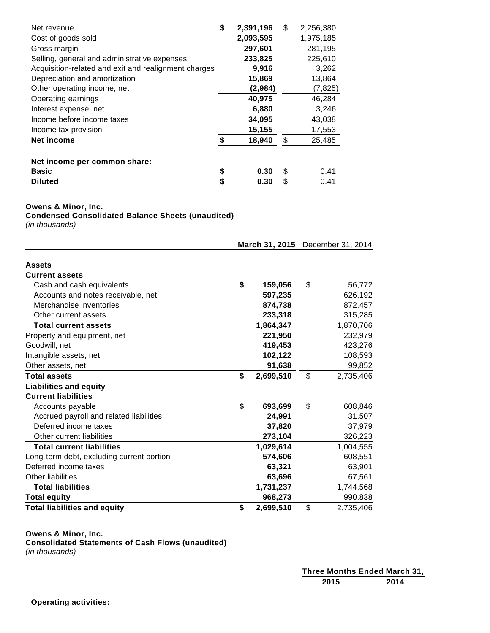| Net revenue                                          | \$<br>2,391,196 | \$ | 2,256,380 |
|------------------------------------------------------|-----------------|----|-----------|
| Cost of goods sold                                   | 2,093,595       |    | 1,975,185 |
| Gross margin                                         | 297,601         |    | 281,195   |
| Selling, general and administrative expenses         | 233,825         |    | 225,610   |
| Acquisition-related and exit and realignment charges | 9,916           |    | 3,262     |
| Depreciation and amortization                        | 15,869          |    | 13,864    |
| Other operating income, net                          | (2,984)         |    | (7, 825)  |
| Operating earnings                                   | 40,975          |    | 46,284    |
| Interest expense, net                                | 6,880           |    | 3,246     |
| Income before income taxes                           | 34,095          |    | 43,038    |
| Income tax provision                                 | 15,155          |    | 17,553    |
| Net income                                           | \$<br>18,940    | \$ | 25,485    |
| Net income per common share:                         |                 |    |           |
| <b>Basic</b>                                         | \$<br>0.30      | S  | 0.41      |
| <b>Diluted</b>                                       | \$<br>0.30      | S  | 0.41      |

### **Owens & Minor, Inc.**

**Condensed Consolidated Balance Sheets (unaudited)**

(in thousands)

|                                           | March 31, 2015 December 31, 2014 |    |           |
|-------------------------------------------|----------------------------------|----|-----------|
| <b>Assets</b>                             |                                  |    |           |
| <b>Current assets</b>                     |                                  |    |           |
| Cash and cash equivalents                 | \$<br>159,056                    | \$ | 56,772    |
| Accounts and notes receivable, net        | 597,235                          |    | 626,192   |
| Merchandise inventories                   | 874,738                          |    | 872,457   |
| Other current assets                      | 233,318                          |    | 315,285   |
| <b>Total current assets</b>               | 1,864,347                        |    | 1,870,706 |
| Property and equipment, net               | 221,950                          |    | 232,979   |
| Goodwill, net                             | 419,453                          |    | 423,276   |
| Intangible assets, net                    | 102,122                          |    | 108,593   |
| Other assets, net                         | 91,638                           |    | 99,852    |
| <b>Total assets</b>                       | \$<br>2,699,510                  | \$ | 2,735,406 |
| <b>Liabilities and equity</b>             |                                  |    |           |
| <b>Current liabilities</b>                |                                  |    |           |
| Accounts payable                          | \$<br>693,699                    | \$ | 608,846   |
| Accrued payroll and related liabilities   | 24,991                           |    | 31,507    |
| Deferred income taxes                     | 37,820                           |    | 37,979    |
| Other current liabilities                 | 273,104                          |    | 326,223   |
| <b>Total current liabilities</b>          | 1,029,614                        |    | 1,004,555 |
| Long-term debt, excluding current portion | 574,606                          |    | 608,551   |
| Deferred income taxes                     | 63,321                           |    | 63,901    |
| <b>Other liabilities</b>                  | 63,696                           |    | 67,561    |
| <b>Total liabilities</b>                  | 1,731,237                        |    | 1,744,568 |
| <b>Total equity</b>                       | 968,273                          |    | 990,838   |
| <b>Total liabilities and equity</b>       | \$<br>2,699,510                  | \$ | 2,735,406 |

#### **Owens & Minor, Inc.**

**Consolidated Statements of Cash Flows (unaudited)**

| Three Months Ended March 31, |  |
|------------------------------|--|
| 2015<br>2014                 |  |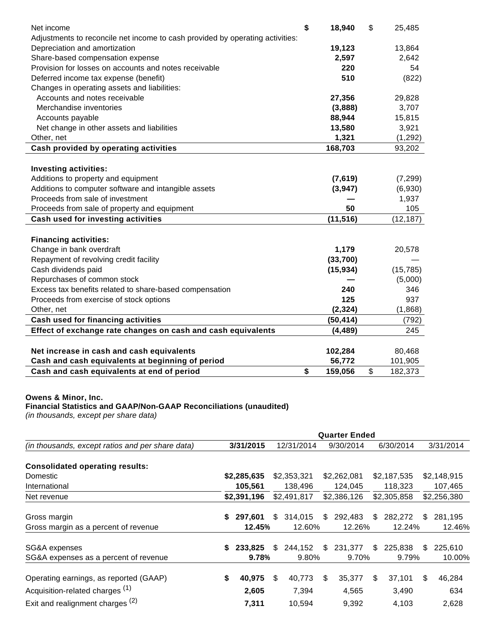| Net income                                                                    | \$<br>18,940  | \$<br>25,485  |
|-------------------------------------------------------------------------------|---------------|---------------|
| Adjustments to reconcile net income to cash provided by operating activities: |               |               |
| Depreciation and amortization                                                 | 19,123        | 13,864        |
| Share-based compensation expense                                              | 2,597         | 2,642         |
| Provision for losses on accounts and notes receivable                         | 220           | 54            |
| Deferred income tax expense (benefit)                                         | 510           | (822)         |
| Changes in operating assets and liabilities:                                  |               |               |
| Accounts and notes receivable                                                 | 27,356        | 29,828        |
| Merchandise inventories                                                       | (3,888)       | 3,707         |
| Accounts payable                                                              | 88,944        | 15,815        |
| Net change in other assets and liabilities                                    | 13,580        | 3,921         |
| Other, net                                                                    | 1,321         | (1,292)       |
| Cash provided by operating activities                                         | 168,703       | 93,202        |
|                                                                               |               |               |
| <b>Investing activities:</b>                                                  |               |               |
| Additions to property and equipment                                           | (7,619)       | (7, 299)      |
| Additions to computer software and intangible assets                          | (3,947)       | (6,930)       |
| Proceeds from sale of investment                                              |               | 1,937         |
| Proceeds from sale of property and equipment                                  | 50            | 105           |
| <b>Cash used for investing activities</b>                                     | (11, 516)     | (12, 187)     |
|                                                                               |               |               |
| <b>Financing activities:</b>                                                  |               |               |
| Change in bank overdraft                                                      | 1,179         | 20,578        |
| Repayment of revolving credit facility                                        | (33,700)      |               |
| Cash dividends paid                                                           | (15, 934)     | (15, 785)     |
| Repurchases of common stock                                                   |               | (5,000)       |
| Excess tax benefits related to share-based compensation                       | 240           | 346           |
| Proceeds from exercise of stock options                                       | 125           | 937           |
| Other, net                                                                    | (2, 324)      | (1,868)       |
| <b>Cash used for financing activities</b>                                     | (50, 414)     | (792)         |
| Effect of exchange rate changes on cash and cash equivalents                  | (4, 489)      | 245           |
|                                                                               |               |               |
| Net increase in cash and cash equivalents                                     | 102,284       | 80,468        |
| Cash and cash equivalents at beginning of period                              | 56,772        | 101,905       |
| Cash and cash equivalents at end of period                                    | \$<br>159,056 | \$<br>182,373 |

#### **Owens & Minor, Inc.**

#### **Financial Statistics and GAAP/Non-GAAP Reconciliations (unaudited)**

(in thousands, except per share data)

|                                                  | <b>Quarter Ended</b> |             |     |             |         |             |         |             |     |             |  |
|--------------------------------------------------|----------------------|-------------|-----|-------------|---------|-------------|---------|-------------|-----|-------------|--|
| (in thousands, except ratios and per share data) |                      | 3/31/2015   |     | 12/31/2014  |         | 9/30/2014   |         | 6/30/2014   |     | 3/31/2014   |  |
| <b>Consolidated operating results:</b>           |                      |             |     |             |         |             |         |             |     |             |  |
| Domestic                                         |                      | \$2,285,635 |     | \$2,353,321 |         | \$2,262,081 |         | \$2,187,535 |     | \$2,148,915 |  |
| International                                    |                      | 105,561     |     | 138,496     | 124,045 |             | 118,323 |             |     | 107,465     |  |
| Net revenue                                      |                      | \$2,391,196 |     | \$2,491,817 |         | \$2,386,126 |         | \$2,305,858 |     | \$2,256,380 |  |
| Gross margin                                     | S.                   | 297,601     | \$. | 314,015     | \$      | 292,483     | \$      | 282,272     | \$. | 281,195     |  |
| Gross margin as a percent of revenue             |                      | 12.45%      |     | 12.60%      |         | 12.26%      |         | 12.24%      |     | 12.46%      |  |
| SG&A expenses                                    | S                    | 233.825     | S   | 244,152     | \$      | 231,377     | \$      | 225,838     | S   | 225,610     |  |
| SG&A expenses as a percent of revenue            |                      | 9.78%       |     | 9.80%       |         | 9.70%       |         | 9.79%       |     | 10.00%      |  |
| Operating earnings, as reported (GAAP)           | S                    | 40,975      | S   | 40,773      | \$      | 35,377      | S       | 37,101      | S   | 46,284      |  |
| Acquisition-related charges <sup>(1)</sup>       |                      | 2,605       |     | 7,394       |         | 4,565       |         | 3,490       |     | 634         |  |
| Exit and realignment charges <sup>(2)</sup>      |                      | 7,311       |     | 10,594      |         | 9,392       |         | 4,103       |     | 2,628       |  |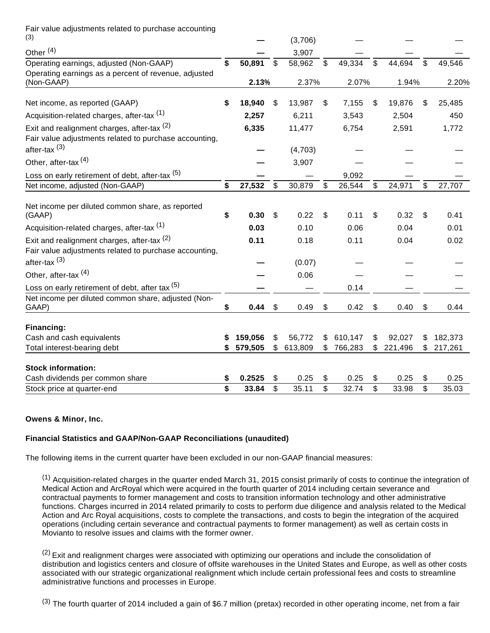Fair value adjustments related to purchase accounting  $(3)$ 

| (3)                                                                                                   |    |         | (3,706)       |              |         |    |         |               |
|-------------------------------------------------------------------------------------------------------|----|---------|---------------|--------------|---------|----|---------|---------------|
| Other <sup>(4)</sup>                                                                                  |    |         | 3,907         |              |         |    |         |               |
| Operating earnings, adjusted (Non-GAAP)<br>Operating earnings as a percent of revenue, adjusted       | \$ | 50,891  | \$<br>58,962  | \$           | 49,334  | \$ | 44,694  | \$<br>49,546  |
| (Non-GAAP)                                                                                            |    | 2.13%   | 2.37%         |              | 2.07%   |    | 1.94%   | 2.20%         |
| Net income, as reported (GAAP)                                                                        | S  | 18,940  | \$<br>13,987  | \$           | 7,155   | \$ | 19,876  | \$<br>25,485  |
| Acquisition-related charges, after-tax <sup>(1)</sup>                                                 |    | 2,257   | 6,211         |              | 3,543   |    | 2,504   | 450           |
| Exit and realignment charges, after-tax (2)<br>Fair value adjustments related to purchase accounting, |    | 6,335   | 11,477        |              | 6,754   |    | 2,591   | 1,772         |
| after-tax $(3)$                                                                                       |    |         | (4,703)       |              |         |    |         |               |
| Other, after-tax <sup>(4)</sup>                                                                       |    |         | 3,907         |              |         |    |         |               |
| Loss on early retirement of debt, after-tax (5)                                                       |    |         |               |              | 9,092   |    |         |               |
| Net income, adjusted (Non-GAAP)                                                                       | \$ | 27,532  | \$<br>30,879  | $\mathbb{S}$ | 26,544  | \$ | 24,971  | \$<br>27,707  |
| Net income per diluted common share, as reported<br>(GAAP)                                            | \$ | 0.30    | \$<br>0.22    | \$           | 0.11    | S  | 0.32    | \$<br>0.41    |
| Acquisition-related charges, after-tax <sup>(1)</sup>                                                 |    | 0.03    | 0.10          |              | 0.06    |    | 0.04    | 0.01          |
| Exit and realignment charges, after-tax (2)                                                           |    | 0.11    | 0.18          |              | 0.11    |    | 0.04    | 0.02          |
| Fair value adjustments related to purchase accounting,<br>after-tax <sup>(3)</sup>                    |    |         | (0.07)        |              |         |    |         |               |
| Other, after-tax <sup>(4)</sup>                                                                       |    |         | 0.06          |              |         |    |         |               |
| Loss on early retirement of debt, after tax (5)                                                       |    |         |               |              | 0.14    |    |         |               |
| Net income per diluted common share, adjusted (Non-<br>GAAP)                                          | \$ | 0.44    | \$<br>0.49    | \$           | 0.42    | \$ | 0.40    | \$<br>0.44    |
| Financing:                                                                                            |    |         |               |              |         |    |         |               |
| Cash and cash equivalents                                                                             |    | 159,056 | \$<br>56,772  | \$           | 610,147 | \$ | 92,027  | 182,373       |
| Total interest-bearing debt                                                                           |    | 579,505 | \$<br>613,809 | \$           | 766,283 | \$ | 221,496 | \$<br>217,261 |
| <b>Stock information:</b>                                                                             |    |         |               |              |         |    |         |               |
| Cash dividends per common share                                                                       |    | 0.2525  | \$<br>0.25    | \$           | 0.25    | \$ | 0.25    | 0.25          |
| Stock price at quarter-end                                                                            | \$ | 33.84   | \$<br>35.11   | \$           | 32.74   | \$ | 33.98   | \$<br>35.03   |

#### **Owens & Minor, Inc.**

# **Financial Statistics and GAAP/Non-GAAP Reconciliations (unaudited)**

The following items in the current quarter have been excluded in our non-GAAP financial measures:

 $<sup>(1)</sup>$  Acquisition-related charges in the quarter ended March 31, 2015 consist primarily of costs to continue the integration of</sup> Medical Action and ArcRoyal which were acquired in the fourth quarter of 2014 including certain severance and contractual payments to former management and costs to transition information technology and other administrative functions. Charges incurred in 2014 related primarily to costs to perform due diligence and analysis related to the Medical Action and Arc Royal acquisitions, costs to complete the transactions, and costs to begin the integration of the acquired operations (including certain severance and contractual payments to former management) as well as certain costs in Movianto to resolve issues and claims with the former owner.

<sup>(2)</sup> Exit and realignment charges were associated with optimizing our operations and include the consolidation of distribution and logistics centers and closure of offsite warehouses in the United States and Europe, as well as other costs associated with our strategic organizational realignment which include certain professional fees and costs to streamline administrative functions and processes in Europe.

 $(3)$  The fourth quarter of 2014 included a gain of \$6.7 million (pretax) recorded in other operating income, net from a fair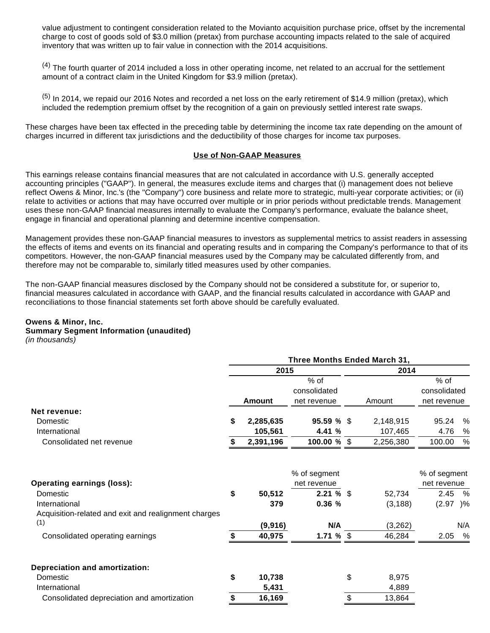value adjustment to contingent consideration related to the Movianto acquisition purchase price, offset by the incremental charge to cost of goods sold of \$3.0 million (pretax) from purchase accounting impacts related to the sale of acquired inventory that was written up to fair value in connection with the 2014 acquisitions.

 $(4)$  The fourth quarter of 2014 included a loss in other operating income, net related to an accrual for the settlement amount of a contract claim in the United Kingdom for \$3.9 million (pretax).

 $(5)$  In 2014, we repaid our 2016 Notes and recorded a net loss on the early retirement of \$14.9 million (pretax), which included the redemption premium offset by the recognition of a gain on previously settled interest rate swaps.

These charges have been tax effected in the preceding table by determining the income tax rate depending on the amount of charges incurred in different tax jurisdictions and the deductibility of those charges for income tax purposes.

#### **Use of Non-GAAP Measures**

This earnings release contains financial measures that are not calculated in accordance with U.S. generally accepted accounting principles ("GAAP"). In general, the measures exclude items and charges that (i) management does not believe reflect Owens & Minor, Inc.'s (the "Company") core business and relate more to strategic, multi-year corporate activities; or (ii) relate to activities or actions that may have occurred over multiple or in prior periods without predictable trends. Management uses these non-GAAP financial measures internally to evaluate the Company's performance, evaluate the balance sheet, engage in financial and operational planning and determine incentive compensation.

Management provides these non-GAAP financial measures to investors as supplemental metrics to assist readers in assessing the effects of items and events on its financial and operating results and in comparing the Company's performance to that of its competitors. However, the non-GAAP financial measures used by the Company may be calculated differently from, and therefore may not be comparable to, similarly titled measures used by other companies.

The non-GAAP financial measures disclosed by the Company should not be considered a substitute for, or superior to, financial measures calculated in accordance with GAAP, and the financial results calculated in accordance with GAAP and reconciliations to those financial statements set forth above should be carefully evaluated.

# **Owens & Minor, Inc.**

#### **Summary Segment Information (unaudited)**

(in thousands)

|                                                      | Three Months Ended March 31, |               |                        |      |           |                        |      |  |  |
|------------------------------------------------------|------------------------------|---------------|------------------------|------|-----------|------------------------|------|--|--|
|                                                      |                              | 2015          |                        | 2014 |           |                        |      |  |  |
|                                                      |                              |               | $%$ of<br>consolidated |      |           | $%$ of<br>consolidated |      |  |  |
|                                                      |                              | <b>Amount</b> | net revenue            |      | Amount    | net revenue            |      |  |  |
| Net revenue:                                         |                              |               |                        |      |           |                        |      |  |  |
| Domestic                                             | \$                           | 2,285,635     | 95.59%                 |      | 2,148,915 | 95.24                  | %    |  |  |
| International                                        |                              | 105,561       | 4.41 %                 |      | 107,465   | 4.76                   | %    |  |  |
| Consolidated net revenue                             |                              | 2,391,196     | $100.00 \%$ \$         |      | 2,256,380 | 100.00                 | $\%$ |  |  |
|                                                      |                              |               | % of segment           |      |           | % of segment           |      |  |  |
| <b>Operating earnings (loss):</b>                    |                              |               | net revenue            |      |           | net revenue            |      |  |  |
| Domestic                                             | \$                           | 50,512        | 2.21%                  |      | 52,734    | 2.45                   | %    |  |  |
| International                                        |                              | 379           | 0.36%                  |      | (3, 188)  | $(2.97)$ %             |      |  |  |
| Acquisition-related and exit and realignment charges |                              |               |                        |      |           |                        |      |  |  |
| (1)                                                  |                              |               |                        |      |           |                        |      |  |  |
|                                                      |                              | (9,916)       | N/A                    |      | (3, 262)  |                        | N/A  |  |  |
| Consolidated operating earnings                      | \$                           | 40,975        | 1.71 % $$$             |      | 46,284    | 2.05                   | %    |  |  |
| <b>Depreciation and amortization:</b>                |                              |               |                        |      |           |                        |      |  |  |
| Domestic                                             | \$                           | 10,738        |                        | \$   | 8,975     |                        |      |  |  |
| International                                        |                              | 5,431         |                        |      | 4,889     |                        |      |  |  |
| Consolidated depreciation and amortization           | \$                           | 16,169        |                        | \$   | 13,864    |                        |      |  |  |
|                                                      |                              |               |                        |      |           |                        |      |  |  |